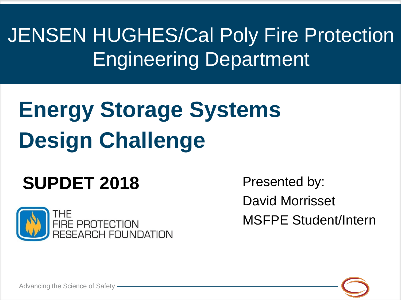JENSEN HUGHES/Cal Poly Fire Protection Engineering Department

# **Energy Storage Systems Design Challenge**

# **SUPDET 2018**



Presented by: David Morrisset MSFPE Student/Intern



Advancing the Science of Safety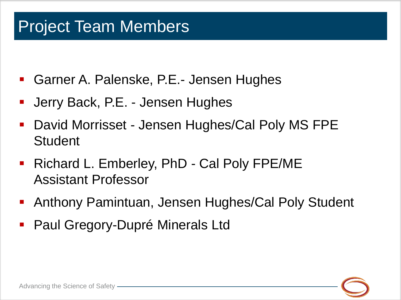### Project Team Members

- Garner A. Palenske, P.E.- Jensen Hughes
- Jerry Back, P.E. Jensen Hughes
- David Morrisset Jensen Hughes/Cal Poly MS FPE **Student**
- Richard L. Emberley, PhD Cal Poly FPE/ME Assistant Professor
- Anthony Pamintuan, Jensen Hughes/Cal Poly Student
- Paul Gregory-Dupré Minerals Ltd

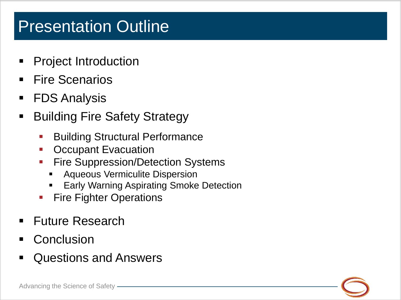### Presentation Outline

- Project Introduction
- **Fire Scenarios**
- FDS Analysis
- Building Fire Safety Strategy
	- **Building Structural Performance**
	- **-** Occupant Evacuation
	- **Fire Suppression/Detection Systems** 
		- Aqueous Vermiculite Dispersion
		- Early Warning Aspirating Smoke Detection
	- Fire Fighter Operations
- Future Research
- Conclusion
- Questions and Answers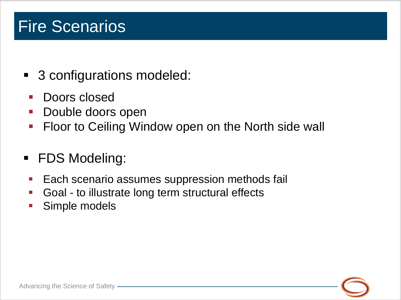# Fire Scenarios

- 3 configurations modeled:
	- Doors closed
	- Double doors open
	- **Figure 1** Floor to Ceiling Window open on the North side wall
- FDS Modeling:
- **Each scenario assumes suppression methods fail**
- **Goal to illustrate long term structural effects**
- Simple models

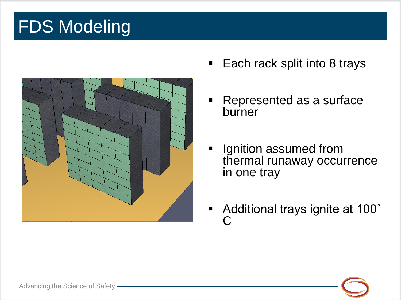# **FDS Modeling**



- Each rack split into 8 trays
- Represented as a surface burner
- **If** Ignition assumed from thermal runaway occurrence in one tray
- Additional trays ignite at 100° C

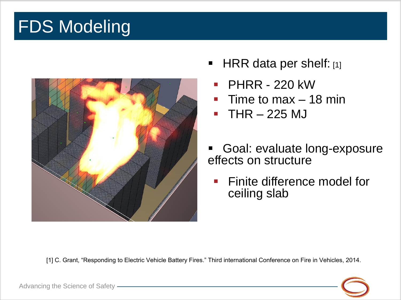# **FDS Modeling**



- HRR data per shelf: [1]
	- PHRR 220 kW
	- Time to max 18 min
	- THR 225 MJ
- Goal: evaluate long-exposure effects on structure
	- Finite difference model for ceiling slab

[1] C. Grant, "Responding to Electric Vehicle Battery Fires." Third international Conference on Fire in Vehicles, 2014.

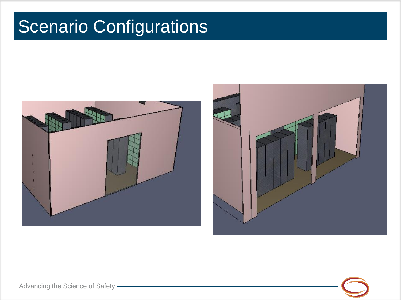# Scenario Configurations







Advancing the Science of Safety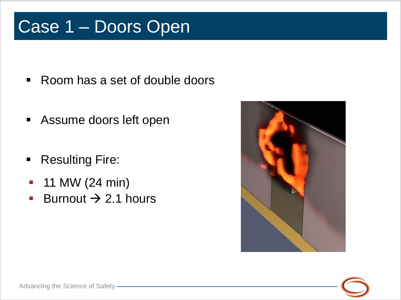# Case 1 – Doors Open

- Room has a set of double doors
- Assume doors left open
- Resulting Fire:
- $-11$  MW (24 min)
- Burnout  $\rightarrow$  2.1 hours



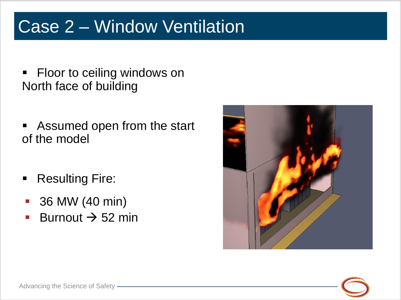# Case 2 – Window Ventilation

- **FIOOT to ceiling windows on** North face of building
- Assumed open from the start of the model
- Resulting Fire:
- 36 MW (40 min)
- Burnout  $\rightarrow$  52 min



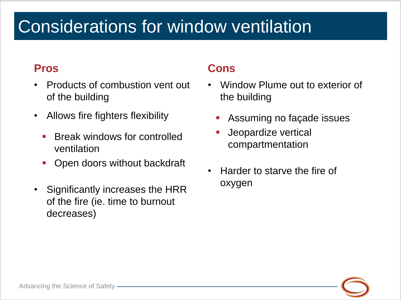# Considerations for window ventilation

#### **Pros**

- Products of combustion vent out of the building
- Allows fire fighters flexibility
	- Break windows for controlled ventilation
	- Open doors without backdraft
- Significantly increases the HRR of the fire (ie. time to burnout decreases)

#### **Cons**

- Window Plume out to exterior of the building
	- Assuming no façade issues
	- Jeopardize vertical compartmentation
- Harder to starve the fire of oxygen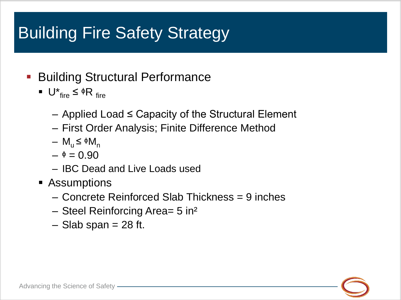- **Building Structural Performance** 
	- $U^*_{\text{fire}} \leq \phi R_{\text{fire}}$ 
		- Applied Load ≤ Capacity of the Structural Element
		- First Order Analysis; Finite Difference Method
		- $M_{\rm u} \leq \phi M_{\rm n}$
		- $\phi$  = 0.90
		- IBC Dead and Live Loads used
	- Assumptions
		- Concrete Reinforced Slab Thickness = 9 inches
		- Steel Reinforcing Area= 5 in²
		- $-$  Slab span = 28 ft.

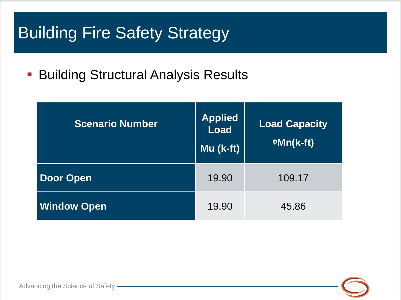**Building Structural Analysis Results** 

| <b>Scenario Number</b> | <b>Applied</b><br><b>Load</b><br>$Mu$ (k-ft) | <b>Load Capacity</b><br>$\Phi$ Mn(k-ft) |
|------------------------|----------------------------------------------|-----------------------------------------|
| <b>Door Open</b>       | 19.90                                        | 109.17                                  |
| <b>Window Open</b>     | 19.90                                        | 45.86                                   |

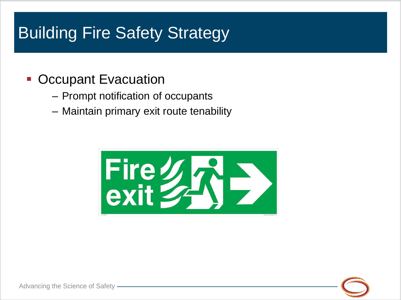#### **• Occupant Evacuation**

- Prompt notification of occupants
- Maintain primary exit route tenability



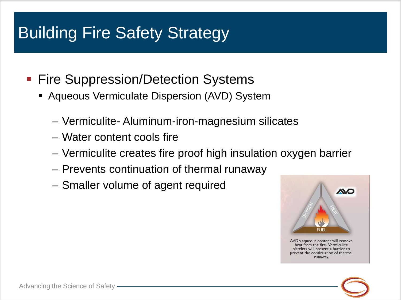- **Fire Suppression/Detection Systems** 
	- **Aqueous Vermiculate Dispersion (AVD) System** 
		- Vermiculite- Aluminum-iron-magnesium silicates
		- Water content cools fire
		- Vermiculite creates fire proof high insulation oxygen barrier
		- Prevents continuation of thermal runaway
		- Smaller volume of agent required



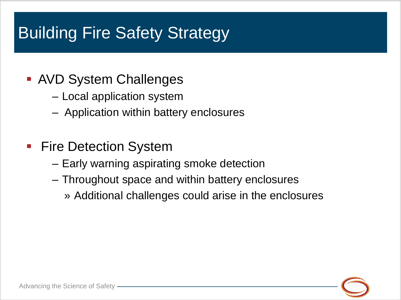- AVD System Challenges
	- Local application system
	- Application within battery enclosures
- **Fire Detection System** 
	- Early warning aspirating smoke detection
	- Throughout space and within battery enclosures
		- » Additional challenges could arise in the enclosures

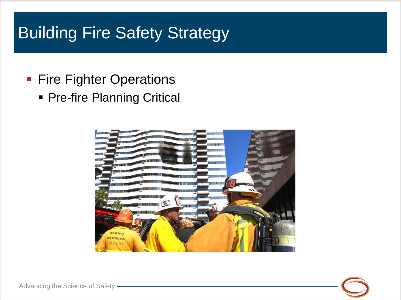- **Fire Fighter Operations** 
	- **Pre-fire Planning Critical**



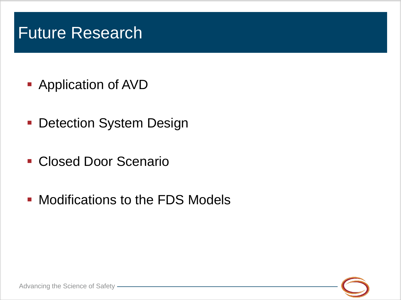### Future Research

- **Application of AVD**
- **Detection System Design**
- Closed Door Scenario
- **Modifications to the FDS Models**

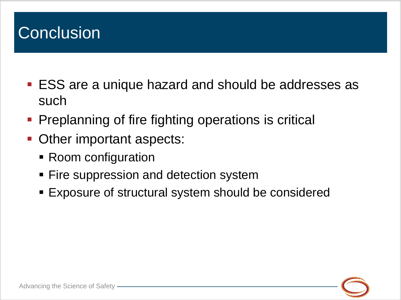# **Conclusion**

- ESS are a unique hazard and should be addresses as such
- Preplanning of fire fighting operations is critical
- Other important aspects:
	- Room configuration
	- **Fire suppression and detection system**
	- Exposure of structural system should be considered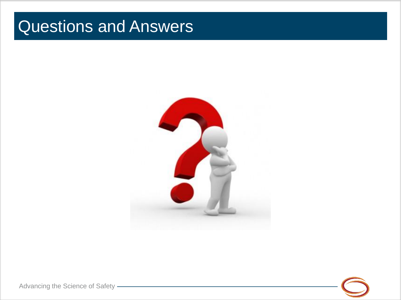### Questions and Answers